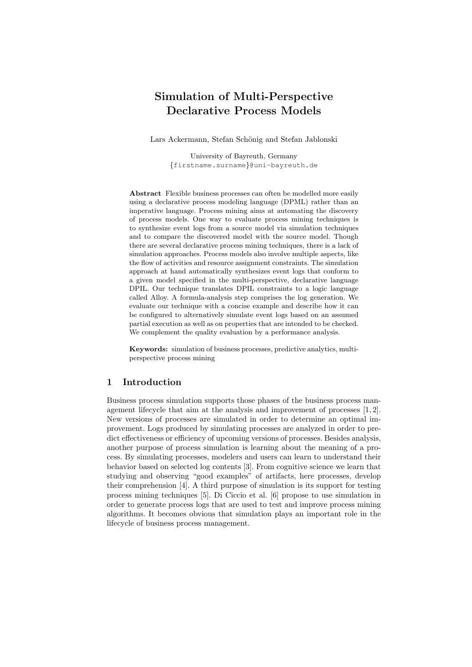# Simulation of Multi-Perspective Declarative Process Models

Lars Ackermann, Stefan Schönig and Stefan Jablonski

University of Bayreuth, Germany {firstname.surname}@uni-bayreuth.de

Abstract Flexible business processes can often be modelled more easily using a declarative process modeling language (DPML) rather than an imperative language. Process mining aims at automating the discovery of process models. One way to evaluate process mining techniques is to synthesize event logs from a source model via simulation techniques and to compare the discovered model with the source model. Though there are several declarative process mining techniques, there is a lack of simulation approaches. Process models also involve multiple aspects, like the flow of activities and resource assignment constraints. The simulation approach at hand automatically synthesizes event logs that conform to a given model specified in the multi-perspective, declarative language DPIL. Our technique translates DPIL constraints to a logic language called Alloy. A formula-analysis step comprises the log generation. We evaluate our technique with a concise example and describe how it can be configured to alternatively simulate event logs based on an assumed partial execution as well as on properties that are intended to be checked. We complement the quality evaluation by a performance analysis.

Keywords: simulation of business processes, predictive analytics, multiperspective process mining

# 1 Introduction

Business process simulation supports those phases of the business process management lifecycle that aim at the analysis and improvement of processes [1, 2]. New versions of processes are simulated in order to determine an optimal improvement. Logs produced by simulating processes are analyzed in order to predict effectiveness or efficiency of upcoming versions of processes. Besides analysis, another purpose of process simulation is learning about the meaning of a process. By simulating processes, modelers and users can learn to understand their behavior based on selected log contents [3]. From cognitive science we learn that studying and observing "good examples" of artifacts, here processes, develop their comprehension [4]. A third purpose of simulation is its support for testing process mining techniques [5]. Di Ciccio et al. [6] propose to use simulation in order to generate process logs that are used to test and improve process mining algorithms. It becomes obvious that simulation plays an important role in the lifecycle of business process management.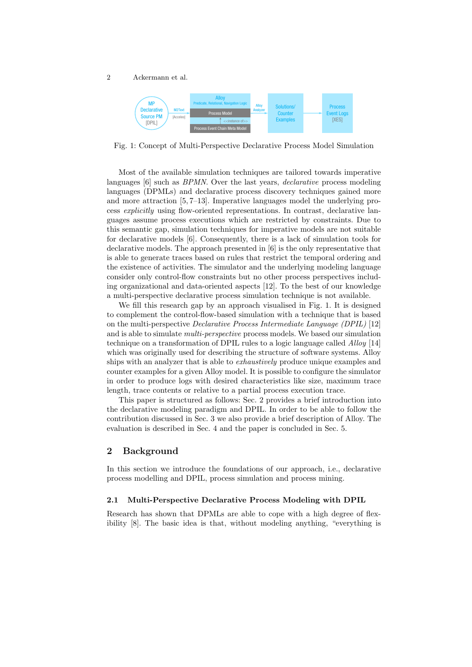

Fig. 1: Concept of Multi-Perspective Declarative Process Model Simulation

Most of the available simulation techniques are tailored towards imperative languages [6] such as BPMN. Over the last years, declarative process modeling languages (DPMLs) and declarative process discovery techniques gained more and more attraction [5, 7–13]. Imperative languages model the underlying process explicitly using flow-oriented representations. In contrast, declarative languages assume process executions which are restricted by constraints. Due to this semantic gap, simulation techniques for imperative models are not suitable for declarative models [6]. Consequently, there is a lack of simulation tools for declarative models. The approach presented in [6] is the only representative that is able to generate traces based on rules that restrict the temporal ordering and the existence of activities. The simulator and the underlying modeling language consider only control-flow constraints but no other process perspectives including organizational and data-oriented aspects [12]. To the best of our knowledge a multi-perspective declarative process simulation technique is not available.

We fill this research gap by an approach visualised in Fig. 1. It is designed to complement the control-flow-based simulation with a technique that is based on the multi-perspective Declarative Process Intermediate Language (DPIL) [12] and is able to simulate multi-perspective process models. We based our simulation technique on a transformation of DPIL rules to a logic language called Alloy [14] which was originally used for describing the structure of software systems. Alloy ships with an analyzer that is able to *exhaustively* produce unique examples and counter examples for a given Alloy model. It is possible to configure the simulator in order to produce logs with desired characteristics like size, maximum trace length, trace contents or relative to a partial process execution trace.

This paper is structured as follows: Sec. 2 provides a brief introduction into the declarative modeling paradigm and DPIL. In order to be able to follow the contribution discussed in Sec. 3 we also provide a brief description of Alloy. The evaluation is described in Sec. 4 and the paper is concluded in Sec. 5.

## 2 Background

In this section we introduce the foundations of our approach, i.e., declarative process modelling and DPIL, process simulation and process mining.

#### 2.1 Multi-Perspective Declarative Process Modeling with DPIL

Research has shown that DPMLs are able to cope with a high degree of flexibility [8]. The basic idea is that, without modeling anything, "everything is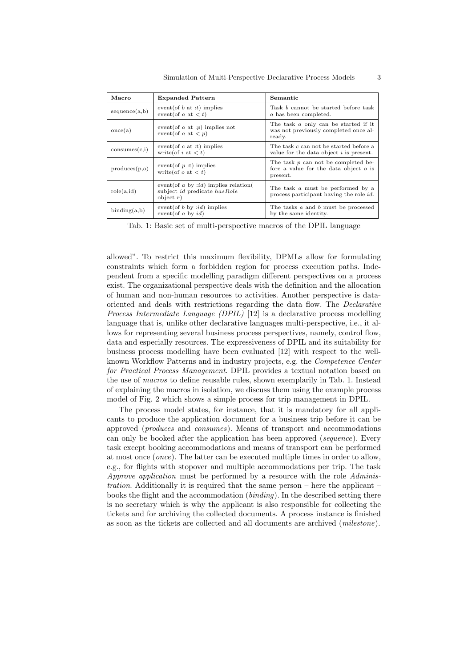| Macro          | <b>Expanded Pattern</b>                                                                        | Semantic                                                                                     |
|----------------|------------------------------------------------------------------------------------------------|----------------------------------------------------------------------------------------------|
| sequence(a,b)  | event(of $b$ at :t) implies<br>event(of a at $\lt t$ )                                         | Task b cannot be started before task<br>a has been completed.                                |
| once(a)        | event(of $a$ at : $p$ ) implies not<br>event(of a at $\langle p \rangle$ )                     | The task a only can be started if it<br>was not previously completed once al-<br>ready.      |
| consumes(c,i)  | event(of $c$ at :t) implies<br>write(of i at $\langle t \rangle$ )                             | The task c can not be started before a<br>value for the data object $i$ is present.          |
| produces(p, o) | event(of $p$ :t) implies<br>write(of $o$ at $\lt t$ )                                          | The task $p$ can not be completed be-<br>fore a value for the data object $o$ is<br>present. |
| role(a, id)    | event(of a by : <i>id</i> ) implies relation(<br>subject id predicate has Role<br>object $r$ ) | The task a must be performed by a<br>process participant having the role id.                 |
| binding(a,b)   | event(of b by : id) implies<br>event (of a by $id$ )                                           | The tasks a and b must be processed<br>by the same identity.                                 |

Tab. 1: Basic set of multi-perspective macros of the DPIL language

allowed". To restrict this maximum flexibility, DPMLs allow for formulating constraints which form a forbidden region for process execution paths. Independent from a specific modelling paradigm different perspectives on a process exist. The organizational perspective deals with the definition and the allocation of human and non-human resources to activities. Another perspective is dataoriented and deals with restrictions regarding the data flow. The Declarative Process Intermediate Language (DPIL) [12] is a declarative process modelling language that is, unlike other declarative languages multi-perspective, i.e., it allows for representing several business process perspectives, namely, control flow, data and especially resources. The expressiveness of DPIL and its suitability for business process modelling have been evaluated [12] with respect to the wellknown Workflow Patterns and in industry projects, e.g. the Competence Center for Practical Process Management. DPIL provides a textual notation based on the use of macros to define reusable rules, shown exemplarily in Tab. 1. Instead of explaining the macros in isolation, we discuss them using the example process model of Fig. 2 which shows a simple process for trip management in DPIL.

The process model states, for instance, that it is mandatory for all applicants to produce the application document for a business trip before it can be approved (produces and consumes). Means of transport and accommodations can only be booked after the application has been approved (sequence). Every task except booking accommodations and means of transport can be performed at most once (once). The latter can be executed multiple times in order to allow, e.g., for flights with stopover and multiple accommodations per trip. The task Approve application must be performed by a resource with the role Administration. Additionally it is required that the same person – here the applicant – books the flight and the accommodation (binding). In the described setting there is no secretary which is why the applicant is also responsible for collecting the tickets and for archiving the collected documents. A process instance is finished as soon as the tickets are collected and all documents are archived (milestone).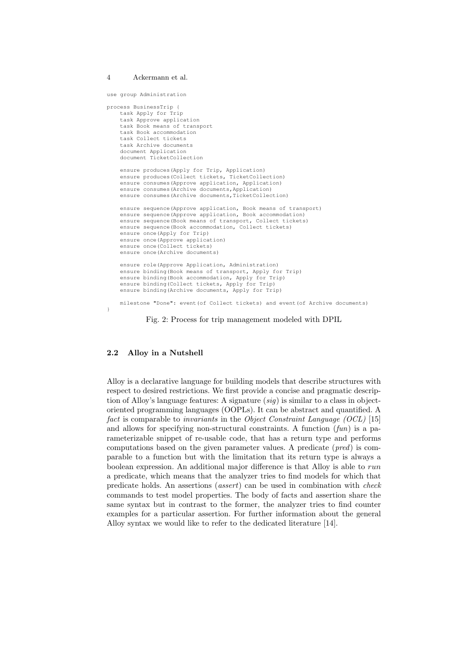```
use group Administration
process BusinessTrip {
   task Apply for Trip
    task Approve application
    task Book means of transport
    task Book accommodation
    task Collect tickets
    task Archive documents
    document Application
    document TicketCollection
    ensure produces(Apply for Trip, Application)
    ensure produces(Collect tickets, TicketCollection)
    ensure consumes(Approve application, Application)
    ensure consumes(Archive documents,Application)
    ensure consumes (Archive documents, TicketCollection)
    ensure sequence(Approve application, Book means of transport)
    ensure sequence(Approve application, Book accommodation)
    ensure sequence(Book means of transport, Collect tickets)
    ensure sequence(Book accommodation, Collect tickets)
    ensure once(Apply for Trip)
    ensure once(Approve application)
    ensure once(Collect tickets)
    ensure once(Archive documents)
    ensure role(Approve Application, Administration)
    ensure binding(Book means of transport, Apply for Trip)
    ensure binding(Book accommodation, Apply for Trip)
    ensure binding(Collect tickets, Apply for Trip)
    ensure binding(Archive documents, Apply for Trip)
    milestone "Done": event(of Collect tickets) and event(of Archive documents)
}
```
Fig. 2: Process for trip management modeled with DPIL

## 2.2 Alloy in a Nutshell

Alloy is a declarative language for building models that describe structures with respect to desired restrictions. We first provide a concise and pragmatic description of Alloy's language features: A signature  $(sia)$  is similar to a class in objectoriented programming languages (OOPLs). It can be abstract and quantified. A fact is comparable to *invariants* in the Object Constraint Language (OCL) [15] and allows for specifying non-structural constraints. A function  $(fun)$  is a parameterizable snippet of re-usable code, that has a return type and performs computations based on the given parameter values. A predicate (pred) is comparable to a function but with the limitation that its return type is always a boolean expression. An additional major difference is that Alloy is able to run a predicate, which means that the analyzer tries to find models for which that predicate holds. An assertions (assert) can be used in combination with check commands to test model properties. The body of facts and assertion share the same syntax but in contrast to the former, the analyzer tries to find counter examples for a particular assertion. For further information about the general Alloy syntax we would like to refer to the dedicated literature [14].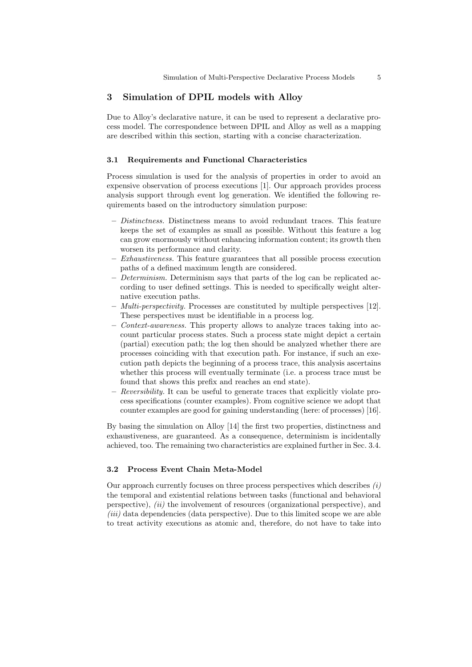## 3 Simulation of DPIL models with Alloy

Due to Alloy's declarative nature, it can be used to represent a declarative process model. The correspondence between DPIL and Alloy as well as a mapping are described within this section, starting with a concise characterization.

#### 3.1 Requirements and Functional Characteristics

Process simulation is used for the analysis of properties in order to avoid an expensive observation of process executions [1]. Our approach provides process analysis support through event log generation. We identified the following requirements based on the introductory simulation purpose:

- Distinctness. Distinctness means to avoid redundant traces. This feature keeps the set of examples as small as possible. Without this feature a log can grow enormously without enhancing information content; its growth then worsen its performance and clarity.
- Exhaustiveness. This feature guarantees that all possible process execution paths of a defined maximum length are considered.
- $–$  *Determinism.* Determinism says that parts of the log can be replicated according to user defined settings. This is needed to specifically weight alternative execution paths.
- Multi-perspectivity. Processes are constituted by multiple perspectives [12]. These perspectives must be identifiable in a process log.
- Context-awareness. This property allows to analyze traces taking into account particular process states. Such a process state might depict a certain (partial) execution path; the log then should be analyzed whether there are processes coinciding with that execution path. For instance, if such an execution path depicts the beginning of a process trace, this analysis ascertains whether this process will eventually terminate (i.e. a process trace must be found that shows this prefix and reaches an end state).
- Reversibility. It can be useful to generate traces that explicitly violate process specifications (counter examples). From cognitive science we adopt that counter examples are good for gaining understanding (here: of processes) [16].

By basing the simulation on Alloy [14] the first two properties, distinctness and exhaustiveness, are guaranteed. As a consequence, determinism is incidentally achieved, too. The remaining two characteristics are explained further in Sec. 3.4.

#### 3.2 Process Event Chain Meta-Model

Our approach currently focuses on three process perspectives which describes  $(i)$ the temporal and existential relations between tasks (functional and behavioral perspective), (ii) the involvement of resources (organizational perspective), and (iii) data dependencies (data perspective). Due to this limited scope we are able to treat activity executions as atomic and, therefore, do not have to take into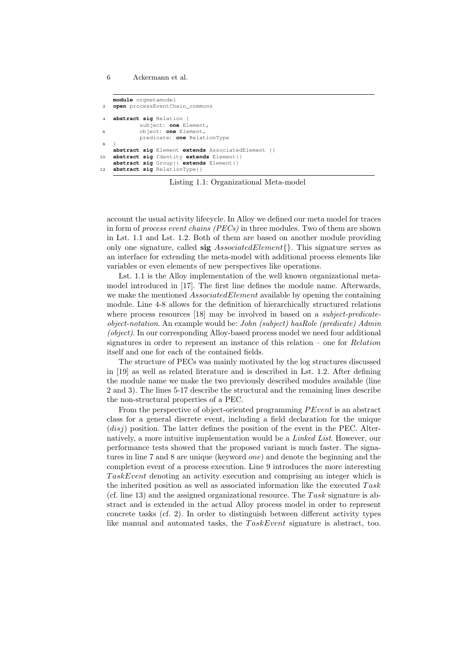```
module orgmetamodel
   2 open processEventChain_commons
    abstract sig Relation
 subject: one Element,
6 object: one Element,
            predicate: one RelationType
 8 }
    abstract sig Element extends AssociatedElement {}
10 abstract sig Identity extends Element{}
    abstract sig Group{} extends Element{}
12 abstract sig RelationType{}
```
Listing 1.1: Organizational Meta-model

account the usual activity lifecycle. In Alloy we defined our meta model for traces in form of process event chains (PECs) in three modules. Two of them are shown in Lst. 1.1 and Lst. 1.2. Both of them are based on another module providing only one signature, called  $sig$  *AssociatedElement* $\{\}$ . This signature serves as an interface for extending the meta-model with additional process elements like variables or even elements of new perspectives like operations.

Lst. 1.1 is the Alloy implementation of the well known organizational metamodel introduced in [17]. The first line defines the module name. Afterwards, we make the mentioned *AssociatedElement* available by opening the containing module. Line 4-8 allows for the definition of hierarchically structured relations where process resources [18] may be involved in based on a *subject-predicate*object-notation. An example would be: John (subject) hasRole (predicate) Admin (object). In our corresponding Alloy-based process model we need four additional signatures in order to represent an instance of this relation – one for Relation itself and one for each of the contained fields.

The structure of PECs was mainly motivated by the log structures discussed in [19] as well as related literature and is described in Lst. 1.2. After defining the module name we make the two previously described modules available (line 2 and 3). The lines 5-17 describe the structural and the remaining lines describe the non-structural properties of a PEC.

From the perspective of object-oriented programming  $PEvent$  is an abstract class for a general discrete event, including a field declaration for the unique  $(disj)$  position. The latter defines the position of the event in the PEC. Alternatively, a more intuitive implementation would be a *Linked List*. However, our performance tests showed that the proposed variant is much faster. The signatures in line 7 and 8 are unique (keyword one) and denote the beginning and the completion event of a process execution. Line 9 introduces the more interesting TaskEvent denoting an activity execution and comprising an integer which is the inherited position as well as associated information like the executed  $Task$ (cf. line 13) and the assigned organizational resource. The Task signature is abstract and is extended in the actual Alloy process model in order to represent concrete tasks (cf. 2). In order to distinguish between different activity types like manual and automated tasks, the TaskEvent signature is abstract, too.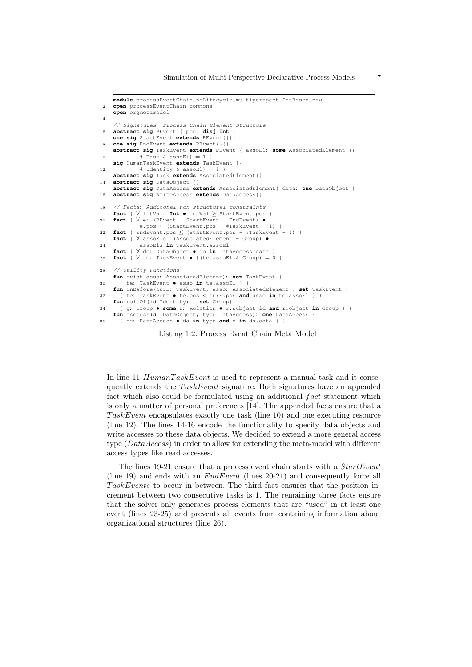```
module processEventChain_noLifecycle_multiperspect_IntBased_new
2 open processEventChain_commons
    open orgmetamodel
 4
     // Signatures: Process Chain Element Structure
6 abstract sig PEvent { pos: disj Int }
    one sig StartEvent extends PEvent{}{}
    8 one sig EndEvent extends PEvent{}{}
    abstract sig TaskEvent extends PEvent { assoEl: some AssociatedElement }{
10 \#(Task & assoEl) = 1 }<br>sig HumanTaskEvent extends TaskEvent{}{
12 \#(Identity & assoEl) = 1 }
    abstract sig Task extends AssociatedElement{}
14 abstract sig DataObject {}
    abstract sig DataAccess extends AssociatedElement{ data: one DataObject }
16 abstract sig WriteAccess extends DataAccess{}
18 // Facts: Additonal non-structural constraints<br>
fact { \forall intVal: Int • intVal > StartEvent.pos
            fact { ∀ intVal: Int • intVal ≥ StartEvent.pos }
20 fact { ∀ e: (PEvent - StartEvent - EndEvent) •
             e.pos < (StartEvent.pos + #TaskEvent + 1) }
22 fact { EndEvent.pos ≤ (StartEvent.pos + #TaskEvent + 1) }
    fact { ∀ assoEls: (AssociatedElement - Group) •
24 assoEls in TaskEvent.assoEl }<br>fact { \forall do: DataObject • do in DataA
           fact { ∀ do: DataObject • do in DataAccess.data }
26 fact { \forall te: TaskEvent • #(te.assoEl & Group) = 0
28 // Utility Functions
    fun exist(asso: AssociatedElement): set TaskEvent {
30 { te: TaskEvent • asso in te.assoEl } }
    fun inBefore(curE: TaskEvent, asso: AssociatedElement): set TaskEvent {
32 { te: TaskEvent • te.pos < curE.pos and asso in te.assoEl } }
    fun roleOf(id: Identity)
34 { g: Group • some r: Relation • r.subject=id and r.object in Group } }
    fun dAccess(d: DataObject, type: DataAccess): one DataAccess {
36 { da: DataAccess • da in type and d in da.data } }
```
Listing 1.2: Process Event Chain Meta Model

In line 11  $Human TaskEvent$  is used to represent a manual task and it consequently extends the  $TaskEvent$  signature. Both signatures have an appended fact which also could be formulated using an additional  $fact$  statement which is only a matter of personal preferences [14]. The appended facts ensure that a  $TaskEvent$  encapsulates exactly one task (line 10) and one executing resource (line 12). The lines 14-16 encode the functionality to specify data objects and write accesses to these data objects. We decided to extend a more general access type (DataAccess) in order to allow for extending the meta-model with different access types like read accesses.

The lines 19-21 ensure that a process event chain starts with a *StartEvent* (line 19) and ends with an EndEvent (lines 20-21) and consequently force all  $TaskEvents$  to occur in between. The third fact ensures that the position increment between two consecutive tasks is 1. The remaining three facts ensure that the solver only generates process elements that are "used" in at least one event (lines 23-25) and prevents all events from containing information about organizational structures (line 26).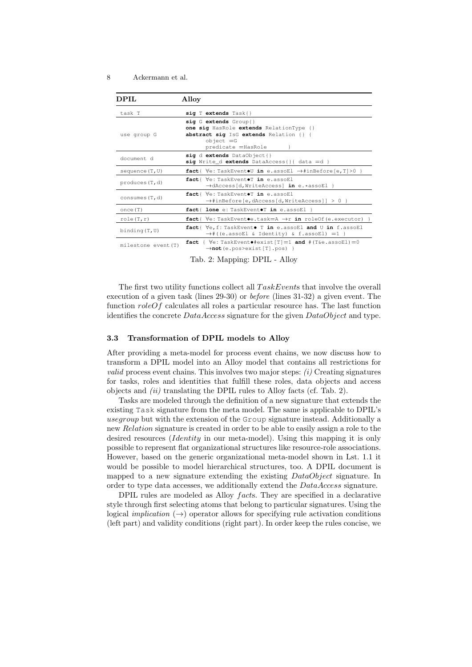| <b>DPIL</b>       | Alloy                                                                                                                                            |
|-------------------|--------------------------------------------------------------------------------------------------------------------------------------------------|
| task T            | sig T extends Task{}                                                                                                                             |
| use group G       | sig G extends Group{}<br>one sig HasRole extends RelationType {}<br>abstract sig IsG extends Relation {} {<br>$object = G$<br>predicate =HasRole |
| document d        | sig d extends DataObject{}<br>sig Write_d extends DataAccess{}{ data =d }                                                                        |
| sequence(T, U)    | <b>fact</b> { $\forall$ e: TaskEvent $\bullet$ U <b>in</b> e.assoEl $\rightarrow$ #inBefore[e,T]>0 }                                             |
| produces(T, d)    | fact { $\forall$ e: TaskEvent.T in e.assoEl<br>$\rightarrow$ dAccess[d, WriteAccess] in e.*assoEl }                                              |
| consumes $(T, d)$ | fact { $\forall$ e: TaskEvent. in e.assoEl<br>$\rightarrow$ #inBefore[e,dAccess[d,WriteAccess]] > 0 }                                            |
| once(T)           | fact { lone e: TaskEvent.T in e.assoEl }                                                                                                         |
| role(T, r)        | <b>fact</b> { $\forall$ e: TaskEvent $\bullet$ e.task=A $\rightarrow$ r <b>in</b> roleOf(e.executor) }                                           |
| binding $(T, U)$  | fact { $\forall$ e, f: TaskEvent. T in e.assoEl and U in f.assoEl<br>$\rightarrow$ #((e.assoEl & Identity) & f.assoEl) =1 }                      |
|                   |                                                                                                                                                  |

milestone event(T) **fact** { <sup>∀</sup>e: TaskEvent•#exist[T]=<sup>1</sup> **and** #(T&e.assoEl)=<sup>0</sup> →**not**(e.pos>exist[T].pos) }

Tab. 2: Mapping: DPIL - Alloy

The first two utility functions collect all  $TaskEvents$  that involve the overall execution of a given task (lines 29-30) or before (lines 31-32) a given event. The function  $roleOf$  calculates all roles a particular resource has. The last function identifies the concrete  $DataAccess$  signature for the given  $DataObject$  and type.

#### 3.3 Transformation of DPIL models to Alloy

After providing a meta-model for process event chains, we now discuss how to transform a DPIL model into an Alloy model that contains all restrictions for *valid* process event chains. This involves two major steps:  $(i)$  Creating signatures for tasks, roles and identities that fulfill these roles, data objects and access objects and  $(ii)$  translating the DPIL rules to Alloy facts (cf. Tab. 2).

Tasks are modeled through the definition of a new signature that extends the existing Task signature from the meta model. The same is applicable to DPIL's usegroup but with the extension of the Group signature instead. Additionally a new Relation signature is created in order to be able to easily assign a role to the desired resources *(Identity* in our meta-model). Using this mapping it is only possible to represent flat organizational structures like resource-role associations. However, based on the generic organizational meta-model shown in Lst. 1.1 it would be possible to model hierarchical structures, too. A DPIL document is mapped to a new signature extending the existing  $DataObject$  signature. In order to type data accesses, we additionally extend the DataAccess signature.

DPIL rules are modeled as Alloy  $facts.$  They are specified in a declarative style through first selecting atoms that belong to particular signatures. Using the logical *implication*  $(\rightarrow)$  operator allows for specifying rule activation conditions (left part) and validity conditions (right part). In order keep the rules concise, we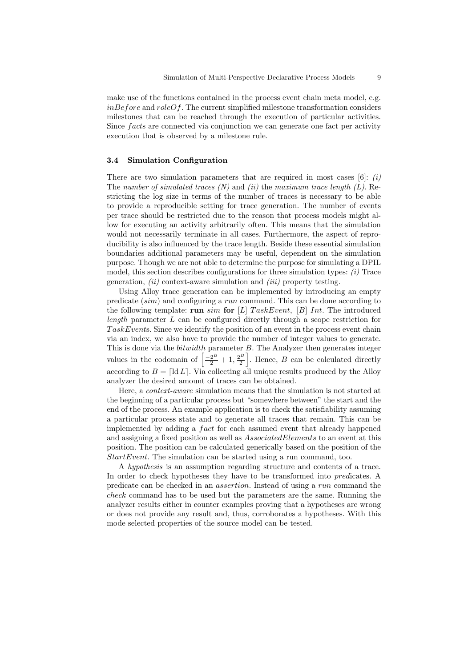make use of the functions contained in the process event chain meta model, e.g.  $inBefore$  and  $roleOf$ . The current simplified milestone transformation considers milestones that can be reached through the execution of particular activities. Since *facts* are connected via conjunction we can generate one fact per activity execution that is observed by a milestone rule.

#### 3.4 Simulation Configuration

There are two simulation parameters that are required in most cases [6]:  $(i)$ The number of simulated traces  $(N)$  and  $(ii)$  the maximum trace length  $(L)$ . Restricting the log size in terms of the number of traces is necessary to be able to provide a reproducible setting for trace generation. The number of events per trace should be restricted due to the reason that process models might allow for executing an activity arbitrarily often. This means that the simulation would not necessarily terminate in all cases. Furthermore, the aspect of reproducibility is also influenced by the trace length. Beside these essential simulation boundaries additional parameters may be useful, dependent on the simulation purpose. Though we are not able to determine the purpose for simulating a DPIL model, this section describes configurations for three simulation types:  $(i)$  Trace generation,  $(ii)$  context-aware simulation and  $(iii)$  property testing.

Using Alloy trace generation can be implemented by introducing an empty predicate (sim) and configuring a run command. This can be done according to the following template: run sim for [L]  $TaskEvent$ , [B] Int. The introduced length parameter L can be configured directly through a scope restriction for  $TaskEvents$ . Since we identify the position of an event in the process event chain via an index, we also have to provide the number of integer values to generate. This is done via the *bitwidth* parameter B. The Analyzer then generates integer values in the codomain of  $\left[\frac{-2^B}{2} + 1, \frac{2^B}{2}\right]$  $\left[\frac{p^B}{2}\right]$ . Hence, *B* can be calculated directly according to  $B = [Id L]$ . Via collecting all unique results produced by the Alloy analyzer the desired amount of traces can be obtained.

Here, a context-aware simulation means that the simulation is not started at the beginning of a particular process but "somewhere between" the start and the end of the process. An example application is to check the satisfiability assuming a particular process state and to generate all traces that remain. This can be implemented by adding a *fact* for each assumed event that already happened and assigning a fixed position as well as *AssociatedElements* to an event at this position. The position can be calculated generically based on the position of the StartEvent. The simulation can be started using a run command, too.

A hypothesis is an assumption regarding structure and contents of a trace. In order to check hypotheses they have to be transformed into predicates. A predicate can be checked in an assertion. Instead of using a run command the check command has to be used but the parameters are the same. Running the analyzer results either in counter examples proving that a hypotheses are wrong or does not provide any result and, thus, corroborates a hypotheses. With this mode selected properties of the source model can be tested.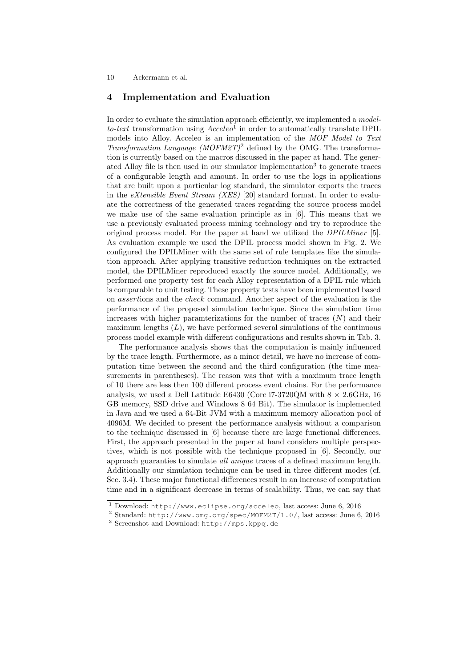# 4 Implementation and Evaluation

In order to evaluate the simulation approach efficiently, we implemented a modelto-text transformation using  $Acceleo<sup>1</sup>$  in order to automatically translate DPIL models into Alloy. Acceleo is an implementation of the MOF Model to Text Transformation Language  $(MOFM2T)^2$  defined by the OMG. The transformation is currently based on the macros discussed in the paper at hand. The generated Alloy file is then used in our simulator implementation<sup>3</sup> to generate traces of a configurable length and amount. In order to use the logs in applications that are built upon a particular log standard, the simulator exports the traces in the eXtensible Event Stream (XES) [20] standard format. In order to evaluate the correctness of the generated traces regarding the source process model we make use of the same evaluation principle as in [6]. This means that we use a previously evaluated process mining technology and try to reproduce the original process model. For the paper at hand we utilized the DPILMiner [5]. As evaluation example we used the DPIL process model shown in Fig. 2. We configured the DPILMiner with the same set of rule templates like the simulation approach. After applying transitive reduction techniques on the extracted model, the DPILMiner reproduced exactly the source model. Additionally, we performed one property test for each Alloy representation of a DPIL rule which is comparable to unit testing. These property tests have been implemented based on assertions and the check command. Another aspect of the evaluation is the performance of the proposed simulation technique. Since the simulation time increases with higher paramterizations for the number of traces  $(N)$  and their maximum lengths  $(L)$ , we have performed several simulations of the continuous process model example with different configurations and results shown in Tab. 3.

The performance analysis shows that the computation is mainly influenced by the trace length. Furthermore, as a minor detail, we have no increase of computation time between the second and the third configuration (the time measurements in parentheses). The reason was that with a maximum trace length of 10 there are less then 100 different process event chains. For the performance analysis, we used a Dell Latitude E6430 (Core i7-3720QM with  $8 \times 2.6$ GHz, 16 GB memory, SSD drive and Windows 8 64 Bit). The simulator is implemented in Java and we used a 64-Bit JVM with a maximum memory allocation pool of 4096M. We decided to present the performance analysis without a comparison to the technique discussed in [6] because there are large functional differences. First, the approach presented in the paper at hand considers multiple perspectives, which is not possible with the technique proposed in [6]. Secondly, our approach guaranties to simulate all unique traces of a defined maximum length. Additionally our simulation technique can be used in three different modes (cf. Sec. 3.4). These major functional differences result in an increase of computation time and in a significant decrease in terms of scalability. Thus, we can say that

<sup>1</sup> Download: http://www.eclipse.org/acceleo, last access: June 6, 2016

<sup>2</sup> Standard: http://www.omg.org/spec/MOFM2T/1.0/, last access: June 6, 2016

<sup>3</sup> Screenshot and Download: http://mps.kppq.de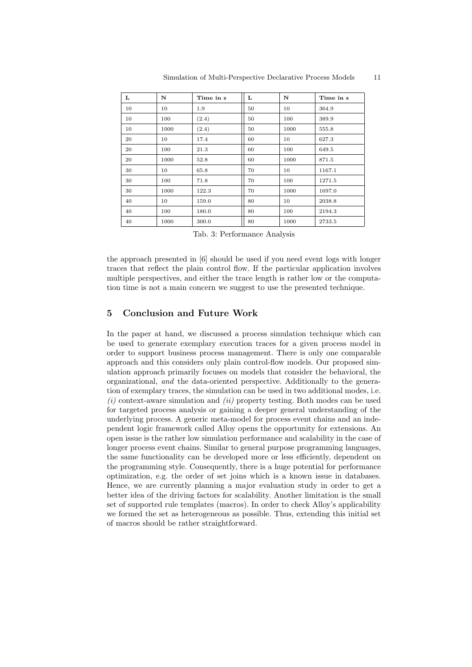| L  | N    | Time in s | L  | N    | Time in s |
|----|------|-----------|----|------|-----------|
| 10 | 10   | 1.9       | 50 | 10   | 364.9     |
| 10 | 100  | (2.4)     | 50 | 100  | 389.9     |
| 10 | 1000 | (2.4)     | 50 | 1000 | 555.8     |
| 20 | 10   | 17.4      | 60 | 10   | 627.3     |
| 20 | 100  | 21.3      | 60 | 100  | 649.5     |
| 20 | 1000 | 52.8      | 60 | 1000 | 871.5     |
| 30 | 10   | 65.8      | 70 | 10   | 1167.1    |
| 30 | 100  | 71.8      | 70 | 100  | 1271.5    |
| 30 | 1000 | 122.3     | 70 | 1000 | 1697.0    |
|    |      |           |    |      |           |

Tab. 3: Performance Analysis

40 | 10 | 159.0 | 80 | 10 | 2038.8 40 | 100 | 180.0 | | 80 | 100 | 2194.3 40 | 1000 | 300.0 | 80 | 1000 | 2733.5

the approach presented in [6] should be used if you need event logs with longer traces that reflect the plain control flow. If the particular application involves multiple perspectives, and either the trace length is rather low or the computation time is not a main concern we suggest to use the presented technique.

## 5 Conclusion and Future Work

In the paper at hand, we discussed a process simulation technique which can be used to generate exemplary execution traces for a given process model in order to support business process management. There is only one comparable approach and this considers only plain control-flow models. Our proposed simulation approach primarily focuses on models that consider the behavioral, the organizational, and the data-oriented perspective. Additionally to the generation of exemplary traces, the simulation can be used in two additional modes, i.e.  $(i)$  context-aware simulation and  $(ii)$  property testing. Both modes can be used for targeted process analysis or gaining a deeper general understanding of the underlying process. A generic meta-model for process event chains and an independent logic framework called Alloy opens the opportunity for extensions. An open issue is the rather low simulation performance and scalability in the case of longer process event chains. Similar to general purpose programming languages, the same functionality can be developed more or less efficiently, dependent on the programming style. Consequently, there is a huge potential for performance optimization, e.g. the order of set joins which is a known issue in databases. Hence, we are currently planning a major evaluation study in order to get a better idea of the driving factors for scalability. Another limitation is the small set of supported rule templates (macros). In order to check Alloy's applicability we formed the set as heterogeneous as possible. Thus, extending this initial set of macros should be rather straightforward.